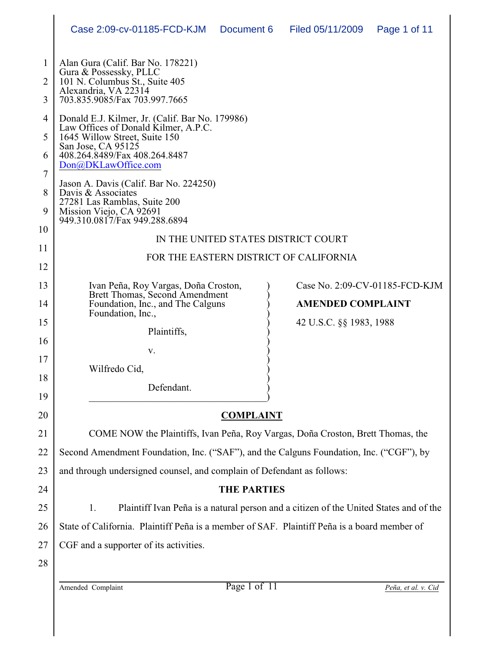|              | Case 2:09-cv-01185-FCD-KJM                                                                                                       | Document 6         | Filed 05/11/2009                                           | Page 1 of 11 |  |
|--------------|----------------------------------------------------------------------------------------------------------------------------------|--------------------|------------------------------------------------------------|--------------|--|
|              |                                                                                                                                  |                    |                                                            |              |  |
| $\mathbf{1}$ | Alan Gura (Calif. Bar No. 178221)<br>Gura & Possessky, PLLC                                                                      |                    |                                                            |              |  |
| 2            | 101 N. Columbus St., Suite 405<br>Alexandria, VA 22314                                                                           |                    |                                                            |              |  |
| 3            | 703.835.9085/Fax 703.997.7665                                                                                                    |                    |                                                            |              |  |
| 4            | Donald E.J. Kilmer, Jr. (Calif. Bar No. 179986)<br>Law Offices of Donald Kilmer, A.P.C.                                          |                    |                                                            |              |  |
| 5            | 1645 Willow Street, Suite 150<br>San Jose, CA 95125<br>408.264.8489/Fax 408.264.8487<br>Don@DKLawOffice.com                      |                    |                                                            |              |  |
| 6            |                                                                                                                                  |                    |                                                            |              |  |
| 7            | Jason A. Davis (Calif. Bar No. 224250)                                                                                           |                    |                                                            |              |  |
| 8            | Davis & Associates<br>27281 Las Ramblas, Suite 200                                                                               |                    |                                                            |              |  |
| 9            | Mission Viejo, CA 92691<br>949.310.0817/Fax 949.288.6894                                                                         |                    |                                                            |              |  |
| 10           | IN THE UNITED STATES DISTRICT COURT                                                                                              |                    |                                                            |              |  |
| 11           | FOR THE EASTERN DISTRICT OF CALIFORNIA                                                                                           |                    |                                                            |              |  |
| 12           |                                                                                                                                  |                    |                                                            |              |  |
| 13           | Ivan Peña, Roy Vargas, Doña Croston,<br>Brett Thomas, Second Amendment<br>Foundation, Inc., and The Calguns<br>Foundation, Inc., |                    | Case No. 2:09-CV-01185-FCD-KJM<br><b>AMENDED COMPLAINT</b> |              |  |
| 14           |                                                                                                                                  |                    |                                                            |              |  |
| 15           | Plaintiffs,                                                                                                                      |                    | 42 U.S.C. §§ 1983, 1988                                    |              |  |
| 16           | V.                                                                                                                               |                    |                                                            |              |  |
| 17           | Wilfredo Cid,                                                                                                                    |                    |                                                            |              |  |
| 18           | Defendant.                                                                                                                       |                    |                                                            |              |  |
| 19           |                                                                                                                                  |                    |                                                            |              |  |
| 20           | <b>COMPLAINT</b>                                                                                                                 |                    |                                                            |              |  |
| 21           | COME NOW the Plaintiffs, Ivan Peña, Roy Vargas, Doña Croston, Brett Thomas, the                                                  |                    |                                                            |              |  |
| 22           | Second Amendment Foundation, Inc. ("SAF"), and the Calguns Foundation, Inc. ("CGF"), by                                          |                    |                                                            |              |  |
| 23           | and through undersigned counsel, and complain of Defendant as follows:                                                           |                    |                                                            |              |  |
| 24           |                                                                                                                                  | <b>THE PARTIES</b> |                                                            |              |  |
| 25           | 1.<br>Plaintiff Ivan Peña is a natural person and a citizen of the United States and of the                                      |                    |                                                            |              |  |
| 26           | State of California. Plaintiff Peña is a member of SAF. Plaintiff Peña is a board member of                                      |                    |                                                            |              |  |
| 27           | CGF and a supporter of its activities.                                                                                           |                    |                                                            |              |  |
| 28           |                                                                                                                                  |                    |                                                            |              |  |

Amended Complaint Page 1 of 11 *Peña, et al. v. Cid*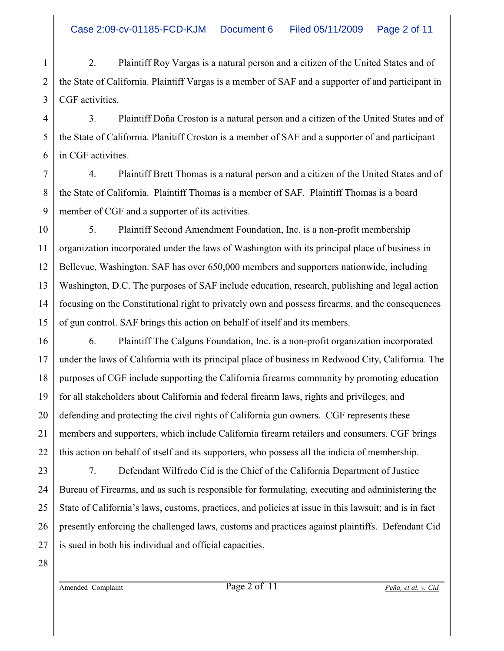1 2 3 2. Plaintiff Roy Vargas is a natural person and a citizen of the United States and of the State of California. Plaintiff Vargas is a member of SAF and a supporter of and participant in CGF activities.

4 3. Plaintiff Doña Croston is a natural person and a citizen of the United States and of the State of California. Planitiff Croston is a member of SAF and a supporter of and participant in CGF activities.

7 8 9 4. Plaintiff Brett Thomas is a natural person and a citizen of the United States and of the State of California. Plaintiff Thomas is a member of SAF. Plaintiff Thomas is a board member of CGF and a supporter of its activities.

10 11 12 13 14 15 5. Plaintiff Second Amendment Foundation, Inc. is a non-profit membership organization incorporated under the laws of Washington with its principal place of business in Bellevue, Washington. SAF has over 650,000 members and supporters nationwide, including Washington, D.C. The purposes of SAF include education, research, publishing and legal action focusing on the Constitutional right to privately own and possess firearms, and the consequences of gun control. SAF brings this action on behalf of itself and its members.

16 6. Plaintiff The Calguns Foundation, Inc. is a non-profit organization incorporated under the laws of California with its principal place of business in Redwood City, California. The purposes of CGF include supporting the California firearms community by promoting education for all stakeholders about California and federal firearm laws, rights and privileges, and defending and protecting the civil rights of California gun owners. CGF represents these members and supporters, which include California firearm retailers and consumers. CGF brings this action on behalf of itself and its supporters, who possess all the indicia of membership.

23 24 25 26 27 7. Defendant Wilfredo Cid is the Chief of the California Department of Justice Bureau of Firearms, and as such is responsible for formulating, executing and administering the State of California's laws, customs, practices, and policies at issue in this lawsuit; and is in fact presently enforcing the challenged laws, customs and practices against plaintiffs. Defendant Cid is sued in both his individual and official capacities.

28

17

18

19

20

21

22

5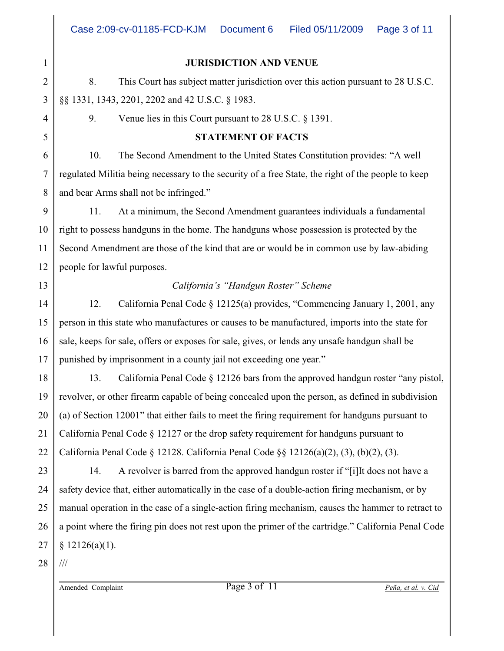# 1 2 3 4 5 6 7 8 9 10 11 12 13 14 15 16 17 18 19 20 21 22 23 24 25 26

**JURISDICTION AND VENUE**

8. This Court has subject matter jurisdiction over this action pursuant to 28 U.S.C. §§ 1331, 1343, 2201, 2202 and 42 U.S.C. § 1983.

9. Venue lies in this Court pursuant to 28 U.S.C. § 1391.

### **STATEMENT OF FACTS**

10. The Second Amendment to the United States Constitution provides: "A well regulated Militia being necessary to the security of a free State, the right of the people to keep and bear Arms shall not be infringed."

11. At a minimum, the Second Amendment guarantees individuals a fundamental right to possess handguns in the home. The handguns whose possession is protected by the Second Amendment are those of the kind that are or would be in common use by law-abiding people for lawful purposes.

## *California's "Handgun Roster" Scheme*

12. California Penal Code § 12125(a) provides, "Commencing January 1, 2001, any person in this state who manufactures or causes to be manufactured, imports into the state for sale, keeps for sale, offers or exposes for sale, gives, or lends any unsafe handgun shall be punished by imprisonment in a county jail not exceeding one year."

13. California Penal Code § 12126 bars from the approved handgun roster "any pistol, revolver, or other firearm capable of being concealed upon the person, as defined in subdivision (a) of Section 12001" that either fails to meet the firing requirement for handguns pursuant to California Penal Code § 12127 or the drop safety requirement for handguns pursuant to California Penal Code  $\S$  12128. California Penal Code  $\S$ § 12126(a)(2), (3), (b)(2), (3).

27 14. A revolver is barred from the approved handgun roster if "[i]It does not have a safety device that, either automatically in the case of a double-action firing mechanism, or by manual operation in the case of a single-action firing mechanism, causes the hammer to retract to a point where the firing pin does not rest upon the primer of the cartridge." California Penal Code  $$12126(a)(1).$ 

28 ///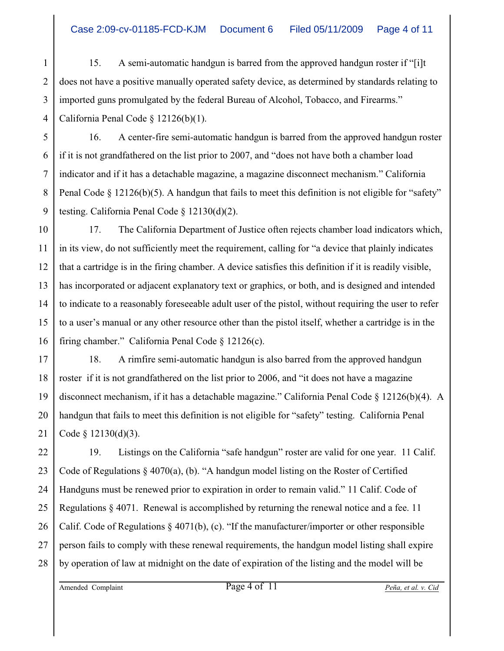1 2 3 4 15. A semi-automatic handgun is barred from the approved handgun roster if "[i]t does not have a positive manually operated safety device, as determined by standards relating to imported guns promulgated by the federal Bureau of Alcohol, Tobacco, and Firearms." California Penal Code § 12126(b)(1).

5 16. A center-fire semi-automatic handgun is barred from the approved handgun roster if it is not grandfathered on the list prior to 2007, and "does not have both a chamber load indicator and if it has a detachable magazine, a magazine disconnect mechanism." California Penal Code  $\S$  12126(b)(5). A handgun that fails to meet this definition is not eligible for "safety" testing. California Penal Code § 12130(d)(2).

10 11 12 13 14 15 16 17. The California Department of Justice often rejects chamber load indicators which, in its view, do not sufficiently meet the requirement, calling for "a device that plainly indicates that a cartridge is in the firing chamber. A device satisfies this definition if it is readily visible, has incorporated or adjacent explanatory text or graphics, or both, and is designed and intended to indicate to a reasonably foreseeable adult user of the pistol, without requiring the user to refer to a user's manual or any other resource other than the pistol itself, whether a cartridge is in the firing chamber." California Penal Code § 12126(c).

17 18 19 20 21 18. A rimfire semi-automatic handgun is also barred from the approved handgun roster if it is not grandfathered on the list prior to 2006, and "it does not have a magazine disconnect mechanism, if it has a detachable magazine." California Penal Code § 12126(b)(4). A handgun that fails to meet this definition is not eligible for "safety" testing. California Penal Code § 12130(d)(3).

22 23 24 25 26 27 28 19. Listings on the California "safe handgun" roster are valid for one year. 11 Calif. Code of Regulations  $\S 4070(a)$ , (b). "A handgun model listing on the Roster of Certified Handguns must be renewed prior to expiration in order to remain valid." 11 Calif. Code of Regulations  $\S$  4071. Renewal is accomplished by returning the renewal notice and a fee. 11 Calif. Code of Regulations § 4071(b), (c). "If the manufacturer/importer or other responsible person fails to comply with these renewal requirements, the handgun model listing shall expire by operation of law at midnight on the date of expiration of the listing and the model will be

6

7

8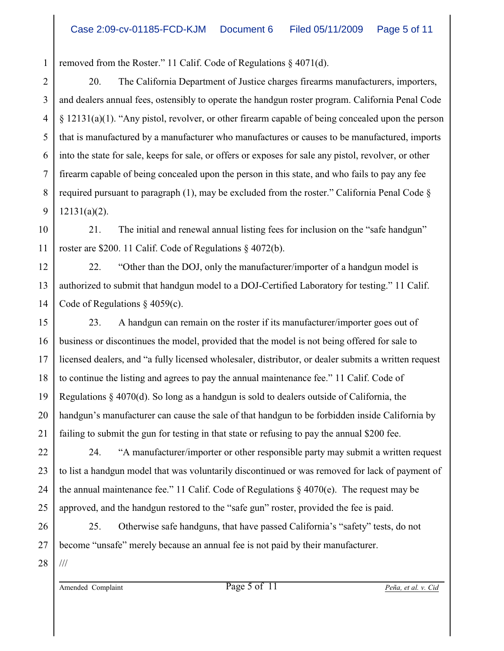1 removed from the Roster." 11 Calif. Code of Regulations § 4071(d).

2 3 4 5 6 7 8 9 20. The California Department of Justice charges firearms manufacturers, importers, and dealers annual fees, ostensibly to operate the handgun roster program. California Penal Code § 12131(a)(1). "Any pistol, revolver, or other firearm capable of being concealed upon the person that is manufactured by a manufacturer who manufactures or causes to be manufactured, imports into the state for sale, keeps for sale, or offers or exposes for sale any pistol, revolver, or other firearm capable of being concealed upon the person in this state, and who fails to pay any fee required pursuant to paragraph  $(1)$ , may be excluded from the roster." California Penal Code  $\S$ 12131(a)(2).

10 11 21. The initial and renewal annual listing fees for inclusion on the "safe handgun" roster are \$200. 11 Calif. Code of Regulations § 4072(b).

12 13 14 22. "Other than the DOJ, only the manufacturer/importer of a handgun model is authorized to submit that handgun model to a DOJ-Certified Laboratory for testing." 11 Calif. Code of Regulations § 4059(c).

15 16 17 18 19 20 21 23. A handgun can remain on the roster if its manufacturer/importer goes out of business or discontinues the model, provided that the model is not being offered for sale to licensed dealers, and "a fully licensed wholesaler, distributor, or dealer submits a written request to continue the listing and agrees to pay the annual maintenance fee." 11 Calif. Code of Regulations  $\S$  4070(d). So long as a handgun is sold to dealers outside of California, the handgun's manufacturer can cause the sale of that handgun to be forbidden inside California by failing to submit the gun for testing in that state or refusing to pay the annual \$200 fee.

22 23 24 25 24. "A manufacturer/importer or other responsible party may submit a written request to list a handgun model that was voluntarily discontinued or was removed for lack of payment of the annual maintenance fee." 11 Calif. Code of Regulations  $\S$  4070(e). The request may be approved, and the handgun restored to the "safe gun" roster, provided the fee is paid.

26 27 25. Otherwise safe handguns, that have passed California's "safety" tests, do not become "unsafe" merely because an annual fee is not paid by their manufacturer.

28 ///

Amended Complaint Page 5 of 11 *Peña, et al. v. Cid*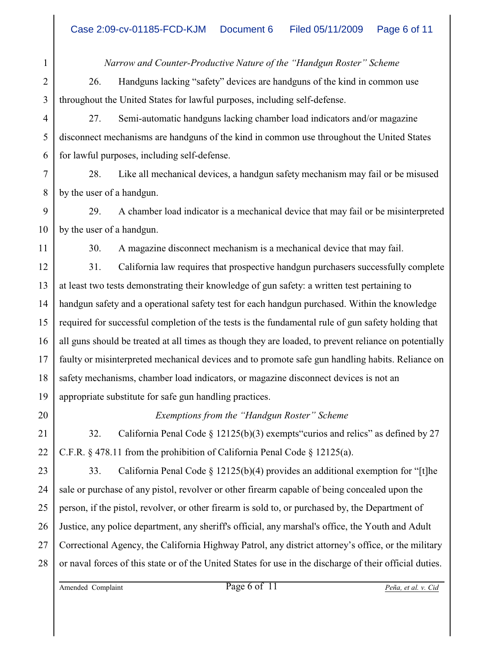*Narrow and Counter-Productive Nature of the "Handgun Roster" Scheme*

26. Handguns lacking "safety" devices are handguns of the kind in common use throughout the United States for lawful purposes, including self-defense.

27. Semi-automatic handguns lacking chamber load indicators and/or magazine disconnect mechanisms are handguns of the kind in common use throughout the United States for lawful purposes, including self-defense.

7 8 28. Like all mechanical devices, a handgun safety mechanism may fail or be misused by the user of a handgun.

9 10 29. A chamber load indicator is a mechanical device that may fail or be misinterpreted by the user of a handgun.

11

1

2

3

4

5

6

30. A magazine disconnect mechanism is a mechanical device that may fail.

12 13 14 15 16 17 18 19 31. California law requires that prospective handgun purchasers successfully complete at least two tests demonstrating their knowledge of gun safety: a written test pertaining to handgun safety and a operational safety test for each handgun purchased. Within the knowledge required for successful completion of the tests is the fundamental rule of gun safety holding that all guns should be treated at all times as though they are loaded, to prevent reliance on potentially faulty or misinterpreted mechanical devices and to promote safe gun handling habits. Reliance on safety mechanisms, chamber load indicators, or magazine disconnect devices is not an appropriate substitute for safe gun handling practices.

20

21

22

#### *Exemptions from the "Handgun Roster" Scheme*

32. California Penal Code § 12125(b)(3) exempts"curios and relics" as defined by 27 C.F.R. § 478.11 from the prohibition of California Penal Code § 12125(a).

23 24 25 26 27 28 33. California Penal Code  $\S 12125(b)(4)$  provides an additional exemption for "[t]he sale or purchase of any pistol, revolver or other firearm capable of being concealed upon the person, if the pistol, revolver, or other firearm is sold to, or purchased by, the Department of Justice, any police department, any sheriff's official, any marshal's office, the Youth and Adult Correctional Agency, the California Highway Patrol, any district attorney's office, or the military or naval forces of this state or of the United States for use in the discharge of their official duties.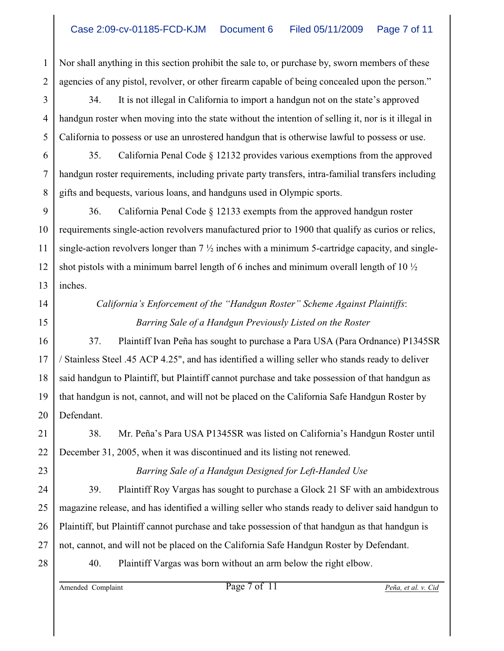1 2 Nor shall anything in this section prohibit the sale to, or purchase by, sworn members of these agencies of any pistol, revolver, or other firearm capable of being concealed upon the person."

3 34. It is not illegal in California to import a handgun not on the state's approved handgun roster when moving into the state without the intention of selling it, nor is it illegal in California to possess or use an unrostered handgun that is otherwise lawful to possess or use.

35. California Penal Code § 12132 provides various exemptions from the approved handgun roster requirements, including private party transfers, intra-familial transfers including gifts and bequests, various loans, and handguns used in Olympic sports.

9 10 11 12 13 36. California Penal Code § 12133 exempts from the approved handgun roster requirements single-action revolvers manufactured prior to 1900 that qualify as curios or relics, single-action revolvers longer than  $7\frac{1}{2}$  inches with a minimum 5-cartridge capacity, and singleshot pistols with a minimum barrel length of 6 inches and minimum overall length of 10 ½ inches.

## 14 15

17

18

19

20

23

24

25

26

27

4

5

6

7

8

## *California's Enforcement of the "Handgun Roster" Scheme Against Plaintiffs*:  *Barring Sale of a Handgun Previously Listed on the Roster*

16 37. Plaintiff Ivan Peña has sought to purchase a Para USA (Para Ordnance) P1345SR / Stainless Steel .45 ACP 4.25", and has identified a willing seller who stands ready to deliver said handgun to Plaintiff, but Plaintiff cannot purchase and take possession of that handgun as that handgun is not, cannot, and will not be placed on the California Safe Handgun Roster by Defendant.

21 22 38. Mr. Peña's Para USA P1345SR was listed on California's Handgun Roster until December 31, 2005, when it was discontinued and its listing not renewed.

*Barring Sale of a Handgun Designed for Left-Handed Use*

39. Plaintiff Roy Vargas has sought to purchase a Glock 21 SF with an ambidextrous magazine release, and has identified a willing seller who stands ready to deliver said handgun to Plaintiff, but Plaintiff cannot purchase and take possession of that handgun as that handgun is not, cannot, and will not be placed on the California Safe Handgun Roster by Defendant.

40. Plaintiff Vargas was born without an arm below the right elbow.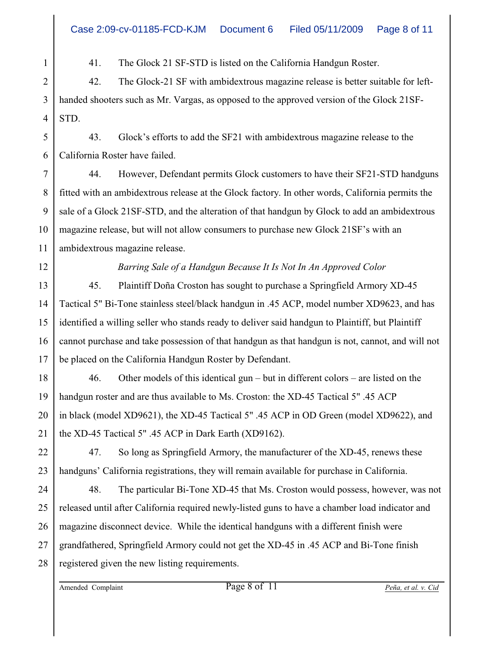41. The Glock 21 SF-STD is listed on the California Handgun Roster.

2 42. The Glock-21 SF with ambidextrous magazine release is better suitable for lefthanded shooters such as Mr. Vargas, as opposed to the approved version of the Glock 21SF-STD.

5 6 43. Glock's efforts to add the SF21 with ambidextrous magazine release to the California Roster have failed.

44. However, Defendant permits Glock customers to have their SF21-STD handguns fitted with an ambidextrous release at the Glock factory. In other words, California permits the sale of a Glock 21SF-STD, and the alteration of that handgun by Glock to add an ambidextrous magazine release, but will not allow consumers to purchase new Glock 21SF's with an ambidextrous magazine release.

*Barring Sale of a Handgun Because It Is Not In An Approved Color*

45. Plaintiff Doña Croston has sought to purchase a Springfield Armory XD-45 Tactical 5" Bi-Tone stainless steel/black handgun in .45 ACP, model number XD9623, and has identified a willing seller who stands ready to deliver said handgun to Plaintiff, but Plaintiff cannot purchase and take possession of that handgun as that handgun is not, cannot, and will not be placed on the California Handgun Roster by Defendant.

46. Other models of this identical gun – but in different colors – are listed on the handgun roster and are thus available to Ms. Croston: the XD-45 Tactical 5" .45 ACP in black (model XD9621), the XD-45 Tactical 5" .45 ACP in OD Green (model XD9622), and the XD-45 Tactical 5" .45 ACP in Dark Earth (XD9162).

47. So long as Springfield Armory, the manufacturer of the XD-45, renews these handguns' California registrations, they will remain available for purchase in California.

48. The particular Bi-Tone XD-45 that Ms. Croston would possess, however, was not released until after California required newly-listed guns to have a chamber load indicator and magazine disconnect device. While the identical handguns with a different finish were grandfathered, Springfield Armory could not get the XD-45 in .45 ACP and Bi-Tone finish registered given the new listing requirements.

1

3

4

7

8

9

10

11

12

13

14

15

16

17

18

19

20

21

22

23

24

25

26

27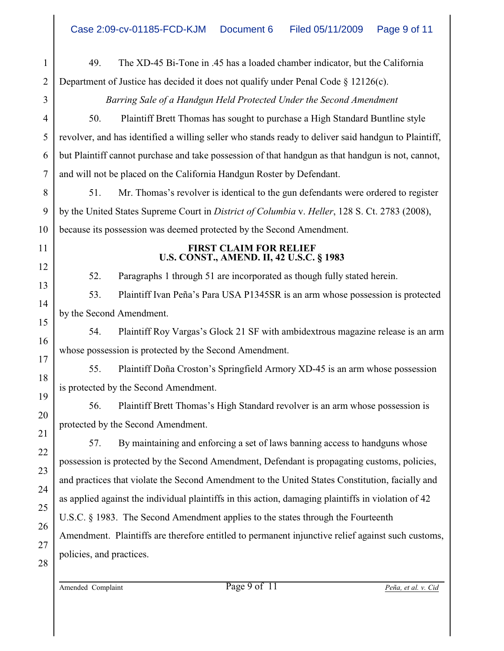1 2 3 4 5 6 7 8 9 10 11 12 13 14 15 16 17 18 19 20 21 22 23 24 25 26 27 28 49. The XD-45 Bi-Tone in .45 has a loaded chamber indicator, but the California Department of Justice has decided it does not qualify under Penal Code § 12126(c). *Barring Sale of a Handgun Held Protected Under the Second Amendment* 50. Plaintiff Brett Thomas has sought to purchase a High Standard Buntline style revolver, and has identified a willing seller who stands ready to deliver said handgun to Plaintiff, but Plaintiff cannot purchase and take possession of that handgun as that handgun is not, cannot, and will not be placed on the California Handgun Roster by Defendant. 51. Mr. Thomas's revolver is identical to the gun defendants were ordered to register by the United States Supreme Court in *District of Columbia* v. *Heller*, 128 S. Ct. 2783 (2008), because its possession was deemed protected by the Second Amendment. **FIRST CLAIM FOR RELIEF U.S. CONST., AMEND. II, 42 U.S.C. § 1983** 52. Paragraphs 1 through 51 are incorporated as though fully stated herein. 53. Plaintiff Ivan Peña's Para USA P1345SR is an arm whose possession is protected by the Second Amendment. 54. Plaintiff Roy Vargas's Glock 21 SF with ambidextrous magazine release is an arm whose possession is protected by the Second Amendment. 55. Plaintiff Doña Croston's Springfield Armory XD-45 is an arm whose possession is protected by the Second Amendment. 56. Plaintiff Brett Thomas's High Standard revolver is an arm whose possession is protected by the Second Amendment. 57. By maintaining and enforcing a set of laws banning access to handguns whose possession is protected by the Second Amendment, Defendant is propagating customs, policies, and practices that violate the Second Amendment to the United States Constitution, facially and as applied against the individual plaintiffs in this action, damaging plaintiffs in violation of 42 U.S.C. § 1983. The Second Amendment applies to the states through the Fourteenth Amendment. Plaintiffs are therefore entitled to permanent injunctive relief against such customs, policies, and practices.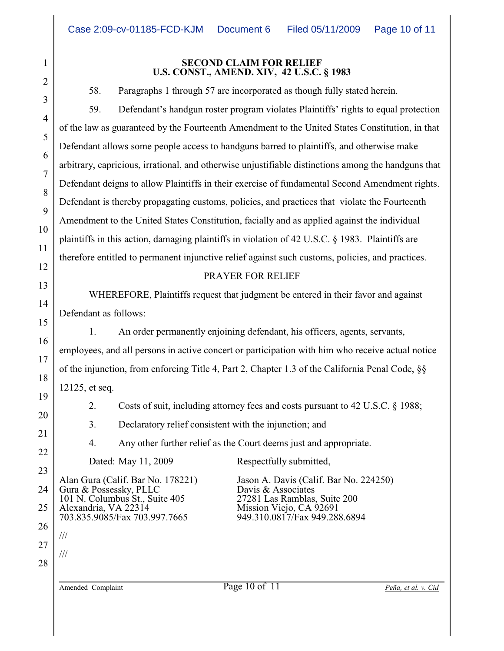#### **SECOND CLAIM FOR RELIEF U.S. CONST., AMEND. XIV, 42 U.S.C. § 1983**

58. Paragraphs 1 through 57 are incorporated as though fully stated herein.

59. Defendant's handgun roster program violates Plaintiffs' rights to equal protection of the law as guaranteed by the Fourteenth Amendment to the United States Constitution, in that Defendant allows some people access to handguns barred to plaintiffs, and otherwise make arbitrary, capricious, irrational, and otherwise unjustifiable distinctions among the handguns that Defendant deigns to allow Plaintiffs in their exercise of fundamental Second Amendment rights. Defendant is thereby propagating customs, policies, and practices that violate the Fourteenth Amendment to the United States Constitution, facially and as applied against the individual plaintiffs in this action, damaging plaintiffs in violation of 42 U.S.C. § 1983. Plaintiffs are therefore entitled to permanent injunctive relief against such customs, policies, and practices.

#### PRAYER FOR RELIEF

WHEREFORE, Plaintiffs request that judgment be entered in their favor and against Defendant as follows:

1. An order permanently enjoining defendant, his officers, agents, servants, employees, and all persons in active concert or participation with him who receive actual notice of the injunction, from enforcing Title 4, Part 2, Chapter 1.3 of the California Penal Code, §§ 12125, et seq.

2. Costs of suit, including attorney fees and costs pursuant to 42 U.S.C. § 1988;

3. Declaratory relief consistent with the injunction; and

4. Any other further relief as the Court deems just and appropriate.

Dated: May 11, 2009 Respectfully submitted,

24 25 26 Gura & Possessky, PLLC<br>
101 N. Columbus St., Suite 405<br>
27281 Las Ramblas, Suite 200 101 N. Columbus St., Suite 405<br>Alexandria, VA 22314 703.835.9085/Fax 703.997.7665

Alan Gura (Calif. Bar No. 178221) Jason A. Davis (Calif. Bar No. 224250)<br>Gura & Possessky, PLLC Davis & Associates Mission Viejo, CA 92691<br>949.310.0817/Fax 949.288.6894

1

2

3

4

5

6

7

8

9

10

11

12

13

14

15

16

17

18

19

20

21

22

23

27

///

///